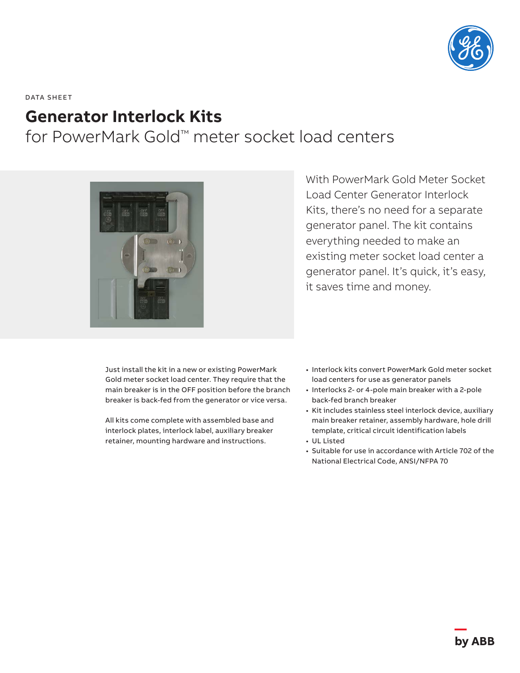

DATA SHEET

## **Generator Interlock Kits**

for PowerMark Gold™ meter socket load centers



With PowerMark Gold Meter Socket Load Center Generator Interlock Kits, there's no need for a separate generator panel. The kit contains everything needed to make an existing meter socket load center a generator panel. It's quick, it's easy, it saves time and money.

Just install the kit in a new or existing PowerMark Gold meter socket load center. They require that the main breaker is in the OFF position before the branch breaker is back-fed from the generator or vice versa.

All kits come complete with assembled base and interlock plates, interlock label, auxiliary breaker retainer, mounting hardware and instructions.

- Interlock kits convert PowerMark Gold meter socket load centers for use as generator panels
- Interlocks 2- or 4-pole main breaker with a 2-pole back-fed branch breaker
- Kit includes stainless steel interlock device, auxiliary main breaker retainer, assembly hardware, hole drill template, critical circuit identification labels
- UL Listed
- Suitable for use in accordance with Article 702 of the National Electrical Code, ANSI/NFPA 70